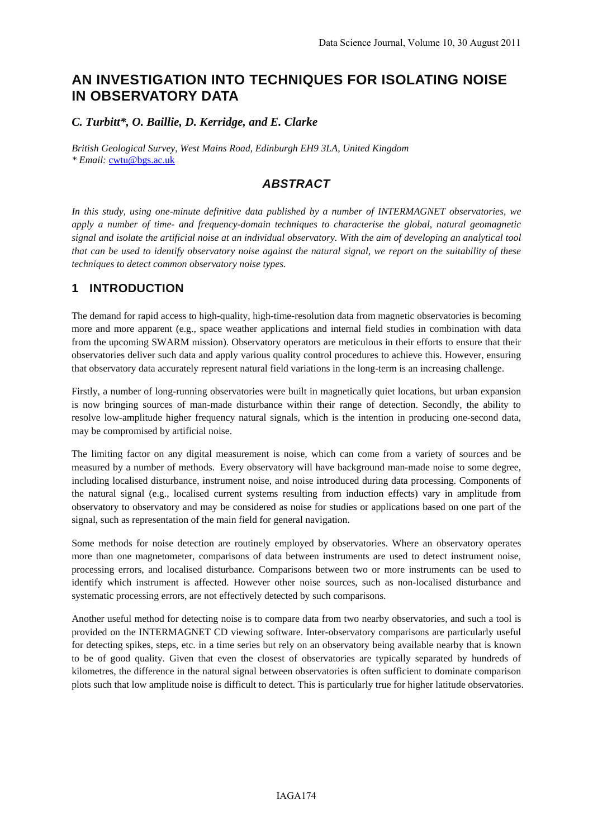# **AN INVESTIGATION INTO TECHNIQUES FOR ISOLATING NOISE IN OBSERVATORY DATA**

#### *C. Turbitt\*, O. Baillie, D. Kerridge, and E. Clarke*

*British Geological Survey, West Mains Road, Edinburgh EH9 3LA, United Kingdom \* Email:* cwtu@bgs.ac.uk

### *ABSTRACT*

*In this study, using one-minute definitive data published by a number of INTERMAGNET observatories, we apply a number of time- and frequency-domain techniques to characterise the global, natural geomagnetic signal and isolate the artificial noise at an individual observatory. With the aim of developing an analytical tool that can be used to identify observatory noise against the natural signal, we report on the suitability of these techniques to detect common observatory noise types.* 

### **1 INTRODUCTION**

The demand for rapid access to high-quality, high-time-resolution data from magnetic observatories is becoming more and more apparent (e.g., space weather applications and internal field studies in combination with data from the upcoming SWARM mission). Observatory operators are meticulous in their efforts to ensure that their observatories deliver such data and apply various quality control procedures to achieve this. However, ensuring that observatory data accurately represent natural field variations in the long-term is an increasing challenge.

Firstly, a number of long-running observatories were built in magnetically quiet locations, but urban expansion is now bringing sources of man-made disturbance within their range of detection. Secondly, the ability to resolve low-amplitude higher frequency natural signals, which is the intention in producing one-second data, may be compromised by artificial noise.

The limiting factor on any digital measurement is noise, which can come from a variety of sources and be measured by a number of methods. Every observatory will have background man-made noise to some degree, including localised disturbance, instrument noise, and noise introduced during data processing. Components of the natural signal (e.g., localised current systems resulting from induction effects) vary in amplitude from observatory to observatory and may be considered as noise for studies or applications based on one part of the signal, such as representation of the main field for general navigation.

Some methods for noise detection are routinely employed by observatories. Where an observatory operates more than one magnetometer, comparisons of data between instruments are used to detect instrument noise, processing errors, and localised disturbance. Comparisons between two or more instruments can be used to identify which instrument is affected. However other noise sources, such as non-localised disturbance and systematic processing errors, are not effectively detected by such comparisons.

Another useful method for detecting noise is to compare data from two nearby observatories, and such a tool is provided on the INTERMAGNET CD viewing software. Inter-observatory comparisons are particularly useful for detecting spikes, steps, etc. in a time series but rely on an observatory being available nearby that is known to be of good quality. Given that even the closest of observatories are typically separated by hundreds of kilometres, the difference in the natural signal between observatories is often sufficient to dominate comparison plots such that low amplitude noise is difficult to detect. This is particularly true for higher latitude observatories.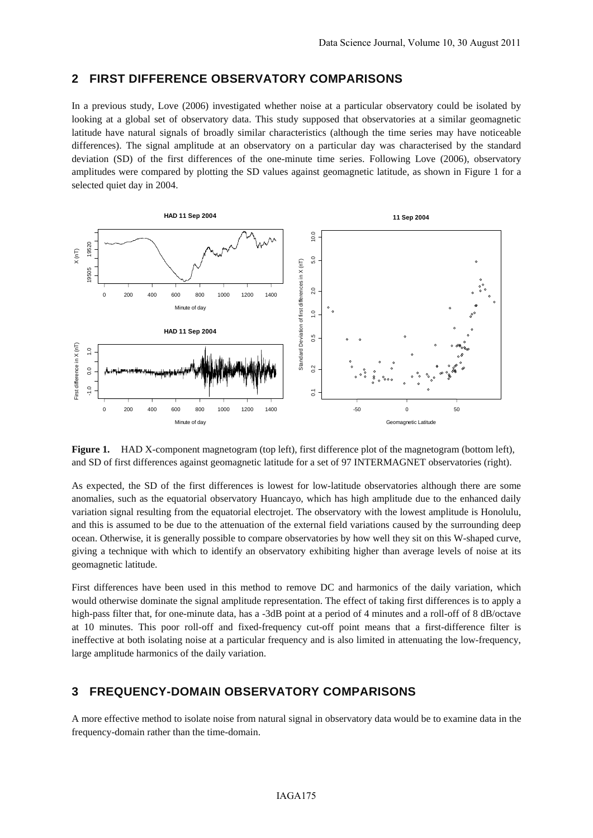#### **2 FIRST DIFFERENCE OBSERVATORY COMPARISONS**

In a previous study, Love (2006) investigated whether noise at a particular observatory could be isolated by looking at a global set of observatory data. This study supposed that observatories at a similar geomagnetic latitude have natural signals of broadly similar characteristics (although the time series may have noticeable differences). The signal amplitude at an observatory on a particular day was characterised by the standard deviation (SD) of the first differences of the one-minute time series. Following Love (2006), observatory amplitudes were compared by plotting the SD values against geomagnetic latitude, as shown in Figure 1 for a selected quiet day in 2004.



**Figure 1.** HAD X-component magnetogram (top left), first difference plot of the magnetogram (bottom left), and SD of first differences against geomagnetic latitude for a set of 97 INTERMAGNET observatories (right).

As expected, the SD of the first differences is lowest for low-latitude observatories although there are some anomalies, such as the equatorial observatory Huancayo, which has high amplitude due to the enhanced daily variation signal resulting from the equatorial electrojet. The observatory with the lowest amplitude is Honolulu, and this is assumed to be due to the attenuation of the external field variations caused by the surrounding deep ocean. Otherwise, it is generally possible to compare observatories by how well they sit on this W-shaped curve, giving a technique with which to identify an observatory exhibiting higher than average levels of noise at its geomagnetic latitude.

First differences have been used in this method to remove DC and harmonics of the daily variation, which would otherwise dominate the signal amplitude representation. The effect of taking first differences is to apply a high-pass filter that, for one-minute data, has a -3dB point at a period of 4 minutes and a roll-off of 8 dB/octave at 10 minutes. This poor roll-off and fixed-frequency cut-off point means that a first-difference filter is ineffective at both isolating noise at a particular frequency and is also limited in attenuating the low-frequency, large amplitude harmonics of the daily variation.

### **3 FREQUENCY-DOMAIN OBSERVATORY COMPARISONS**

A more effective method to isolate noise from natural signal in observatory data would be to examine data in the frequency-domain rather than the time-domain.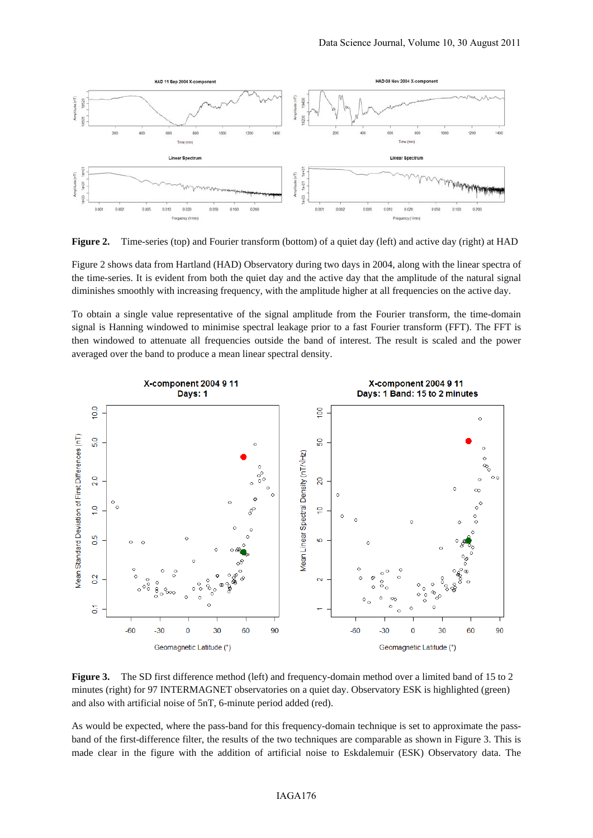

**Figure 2.** Time-series (top) and Fourier transform (bottom) of a quiet day (left) and active day (right) at HAD

Figure 2 shows data from Hartland (HAD) Observatory during two days in 2004, along with the linear spectra of the time-series. It is evident from both the quiet day and the active day that the amplitude of the natural signal diminishes smoothly with increasing frequency, with the amplitude higher at all frequencies on the active day.

To obtain a single value representative of the signal amplitude from the Fourier transform, the time-domain signal is Hanning windowed to minimise spectral leakage prior to a fast Fourier transform (FFT). The FFT is then windowed to attenuate all frequencies outside the band of interest. The result is scaled and the power averaged over the band to produce a mean linear spectral density.



**Figure 3.** The SD first difference method (left) and frequency-domain method over a limited band of 15 to 2 minutes (right) for 97 INTERMAGNET observatories on a quiet day. Observatory ESK is highlighted (green) and also with artificial noise of 5nT, 6-minute period added (red).

As would be expected, where the pass-band for this frequency-domain technique is set to approximate the passband of the first-difference filter, the results of the two techniques are comparable as shown in Figure 3. This is made clear in the figure with the addition of artificial noise to Eskdalemuir (ESK) Observatory data. The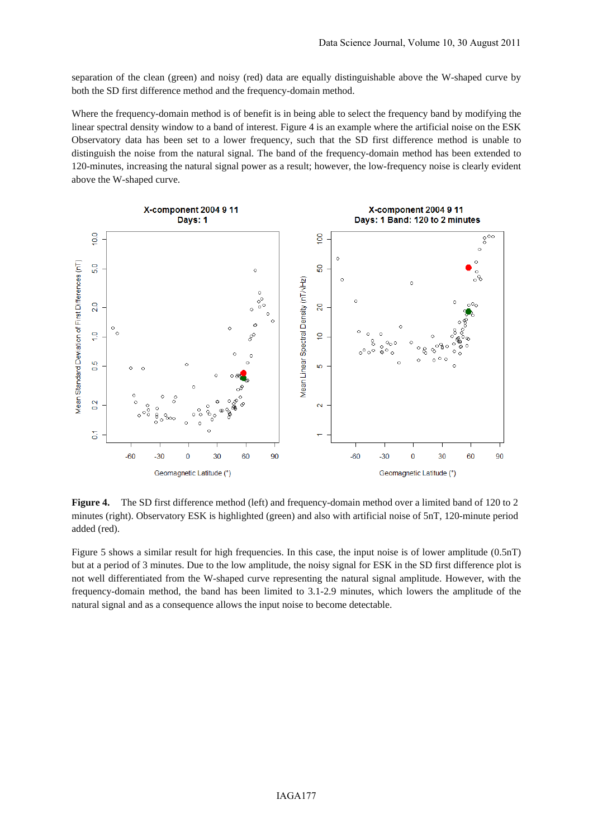separation of the clean (green) and noisy (red) data are equally distinguishable above the W-shaped curve by both the SD first difference method and the frequency-domain method.

Where the frequency-domain method is of benefit is in being able to select the frequency band by modifying the linear spectral density window to a band of interest. Figure 4 is an example where the artificial noise on the ESK Observatory data has been set to a lower frequency, such that the SD first difference method is unable to distinguish the noise from the natural signal. The band of the frequency-domain method has been extended to 120-minutes, increasing the natural signal power as a result; however, the low-frequency noise is clearly evident above the W-shaped curve.



**Figure 4.** The SD first difference method (left) and frequency-domain method over a limited band of 120 to 2 minutes (right). Observatory ESK is highlighted (green) and also with artificial noise of 5nT, 120-minute period added (red).

Figure 5 shows a similar result for high frequencies. In this case, the input noise is of lower amplitude (0.5nT) but at a period of 3 minutes. Due to the low amplitude, the noisy signal for ESK in the SD first difference plot is not well differentiated from the W-shaped curve representing the natural signal amplitude. However, with the frequency-domain method, the band has been limited to 3.1-2.9 minutes, which lowers the amplitude of the natural signal and as a consequence allows the input noise to become detectable.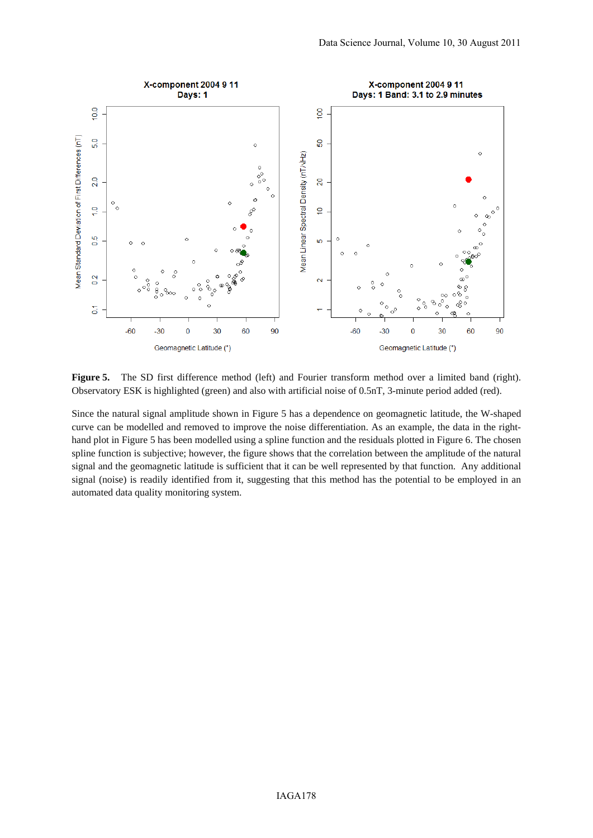

**Figure 5.** The SD first difference method (left) and Fourier transform method over a limited band (right). Observatory ESK is highlighted (green) and also with artificial noise of 0.5nT, 3-minute period added (red).

Since the natural signal amplitude shown in Figure 5 has a dependence on geomagnetic latitude, the W-shaped curve can be modelled and removed to improve the noise differentiation. As an example, the data in the righthand plot in Figure 5 has been modelled using a spline function and the residuals plotted in Figure 6. The chosen spline function is subjective; however, the figure shows that the correlation between the amplitude of the natural signal and the geomagnetic latitude is sufficient that it can be well represented by that function. Any additional signal (noise) is readily identified from it, suggesting that this method has the potential to be employed in an automated data quality monitoring system.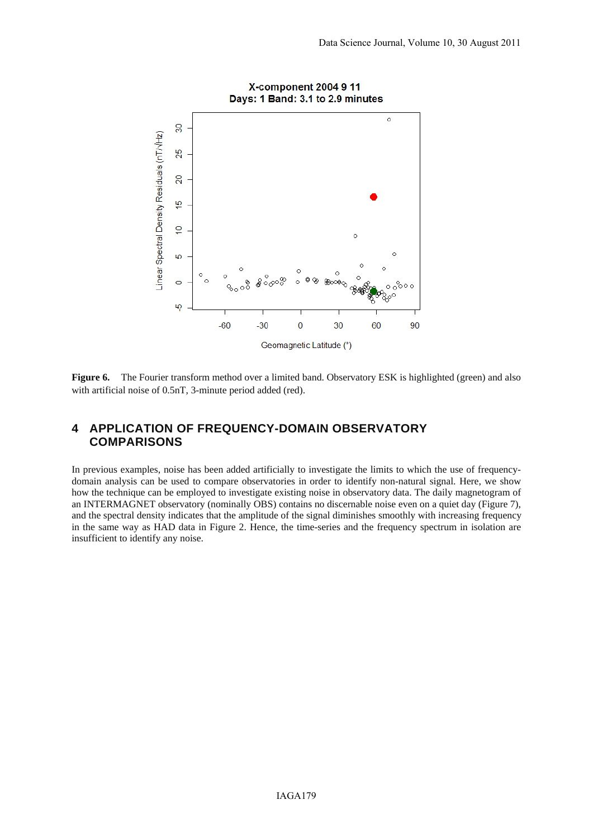

**Figure 6.** The Fourier transform method over a limited band. Observatory ESK is highlighted (green) and also with artificial noise of 0.5nT, 3-minute period added (red).

### **4 APPLICATION OF FREQUENCY-DOMAIN OBSERVATORY COMPARISONS**

In previous examples, noise has been added artificially to investigate the limits to which the use of frequencydomain analysis can be used to compare observatories in order to identify non-natural signal. Here, we show how the technique can be employed to investigate existing noise in observatory data. The daily magnetogram of an INTERMAGNET observatory (nominally OBS) contains no discernable noise even on a quiet day (Figure 7), and the spectral density indicates that the amplitude of the signal diminishes smoothly with increasing frequency in the same way as HAD data in Figure 2. Hence, the time-series and the frequency spectrum in isolation are insufficient to identify any noise.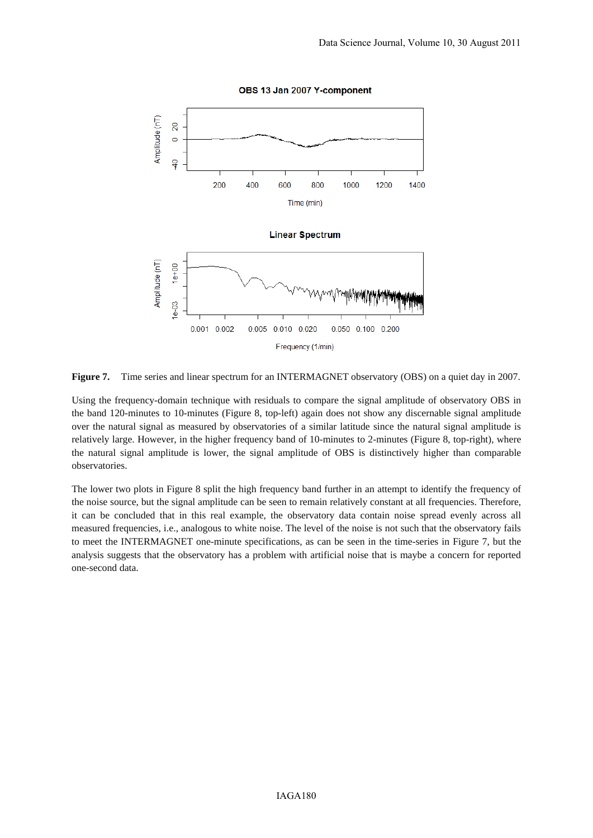

OBS 13 Jan 2007 Y-component

**Figure 7.** Time series and linear spectrum for an INTERMAGNET observatory (OBS) on a quiet day in 2007.

Using the frequency-domain technique with residuals to compare the signal amplitude of observatory OBS in the band 120-minutes to 10-minutes (Figure 8, top-left) again does not show any discernable signal amplitude over the natural signal as measured by observatories of a similar latitude since the natural signal amplitude is relatively large. However, in the higher frequency band of 10-minutes to 2-minutes (Figure 8, top-right), where the natural signal amplitude is lower, the signal amplitude of OBS is distinctively higher than comparable observatories.

The lower two plots in Figure 8 split the high frequency band further in an attempt to identify the frequency of the noise source, but the signal amplitude can be seen to remain relatively constant at all frequencies. Therefore, it can be concluded that in this real example, the observatory data contain noise spread evenly across all measured frequencies, i.e., analogous to white noise. The level of the noise is not such that the observatory fails to meet the INTERMAGNET one-minute specifications, as can be seen in the time-series in Figure 7, but the analysis suggests that the observatory has a problem with artificial noise that is maybe a concern for reported one-second data.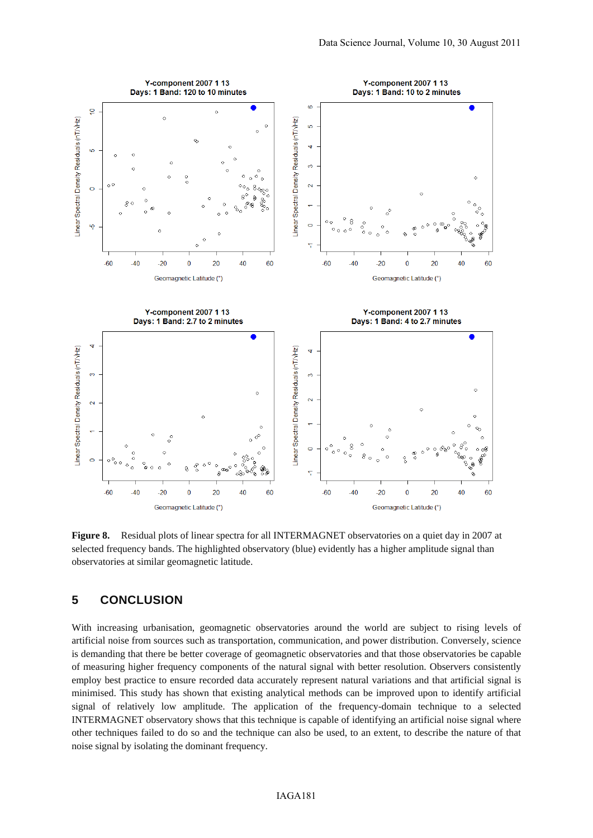

**Figure 8.** Residual plots of linear spectra for all INTERMAGNET observatories on a quiet day in 2007 at selected frequency bands. The highlighted observatory (blue) evidently has a higher amplitude signal than observatories at similar geomagnetic latitude.

#### **5 CONCLUSION**

With increasing urbanisation, geomagnetic observatories around the world are subject to rising levels of artificial noise from sources such as transportation, communication, and power distribution. Conversely, science is demanding that there be better coverage of geomagnetic observatories and that those observatories be capable of measuring higher frequency components of the natural signal with better resolution. Observers consistently employ best practice to ensure recorded data accurately represent natural variations and that artificial signal is minimised. This study has shown that existing analytical methods can be improved upon to identify artificial signal of relatively low amplitude. The application of the frequency-domain technique to a selected INTERMAGNET observatory shows that this technique is capable of identifying an artificial noise signal where other techniques failed to do so and the technique can also be used, to an extent, to describe the nature of that noise signal by isolating the dominant frequency.